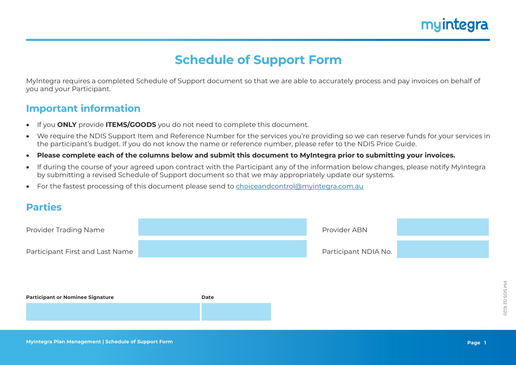## myintegra

### **Schedule of Support Form**

MyIntegra requires a completed Schedule of Support document so that we are able to accurately process and pay invoices on behalf of you and your Participant.

#### **Important information**

- If you **ONLY** provide **ITEMS/GOODS** you do not need to complete this document.
- We require the NDIS Support Item and Reference Number for the services you're providing so we can reserve funds for your services in the participant's budget. If you do not know the name or reference number, please refer to the NDIS Price Guide.
- **Please complete each of the columns below and submit this document to MyIntegra prior to submitting your invoices.**
- If during the course of your agreed upon contract with the Participant any of the information below changes, please notify MyIntegra by submitting a revised Schedule of Support document so that we may appropriately update our systems.
- For the fastest processing of this document please send to [choiceandcontrol@myintegra.com.au](mailto:choiceandcontrol%40myintegra.com.au?subject=Schedule%20of%20Support)

#### **Parties**

| <b>Provider Trading Name</b>            |      | Provider ABN         |  |
|-----------------------------------------|------|----------------------|--|
| Participant First and Last Name         |      | Participant NDIA No. |  |
|                                         |      |                      |  |
| <b>Participant or Nominee Signature</b> | Date |                      |  |